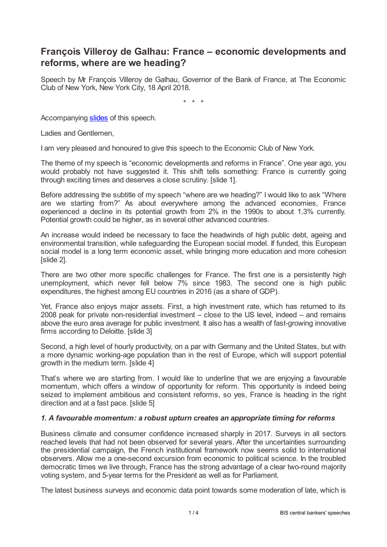## **François Villeroy de Galhau: France – economic developments and reforms, where are we heading?**

Speech by Mr François Villeroy de Galhau, Governor of the Bank of France, at The Economic Club of New York, New York City, 18 April 2018.

\* \* \*

Accompanying [slides](www.bis.org/review/r180424j_slides.pdf) of this speech.

Ladies and Gentlemen,

I am very pleased and honoured to give this speech to the Economic Club of New York.

The theme of my speech is "economic developments and reforms in France". One year ago, you would probably not have suggested it. This shift tells something: France is currently going through exciting times and deserves a close scrutiny. [slide 1].

Before addressing the subtitle of my speech "where are we heading?" I would like to ask "Where are we starting from?" As about everywhere among the advanced economies, France experienced a decline in its potential growth from 2% in the 1990s to about 1.3% currently. Potential growth could be higher, as in several other advanced countries.

An increase would indeed be necessary to face the headwinds of high public debt, ageing and environmental transition, while safeguarding the European social model. If funded, this European social model is a long term economic asset, while bringing more education and more cohesion [slide 2].

There are two other more specific challenges for France. The first one is a persistently high unemployment, which never fell below 7% since 1983. The second one is high public expenditures, the highest among EU countries in 2016 (as a share of GDP).

Yet, France also enjoys major assets. First, a high investment rate, which has returned to its 2008 peak for private non-residential investment – close to the US level, indeed – and remains above the euro area average for public investment. It also has a wealth of fast-growing innovative firms according to Deloitte. [slide 3]

Second, a high level of hourly productivity, on a par with Germany and the United States, but with a more dynamic working-age population than in the rest of Europe, which will support potential growth in the medium term. [slide 4]

That's where we are starting from. I would like to underline that we are enjoying a favourable momentum, which offers a window of opportunity for reform. This opportunity is indeed being seized to implement ambitious and consistent reforms, so yes, France is heading in the right direction and at a fast pace. [slide 5]

## *1. A favourable momentum: a robust upturn creates an appropriate timing for reforms*

Business climate and consumer confidence increased sharply in 2017. Surveys in all sectors reached levels that had not been observed for several years. After the uncertainties surrounding the presidential campaign, the French institutional framework now seems solid to international observers. Allow me a one-second excursion from economic to political science. In the troubled democratic times we live through, France has the strong advantage of a clear two-round majority voting system, and 5-year terms for the President as well as for Parliament.

The latest business surveys and economic data point towards some moderation of late, which is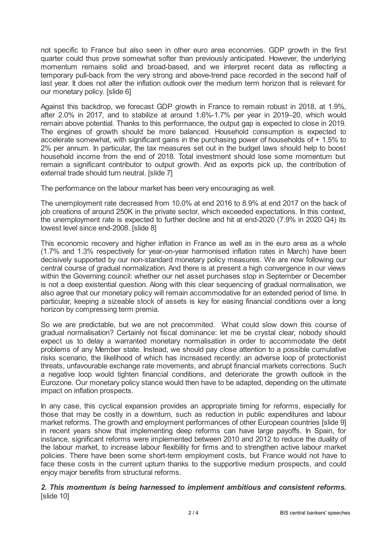not specific to France but also seen in other euro area economies. GDP growth in the first quarter could thus prove somewhat softer than previously anticipated. However, the underlying momentum remains solid and broad-based, and we interpret recent data as reflecting a temporary pull-back from the very strong and above-trend pace recorded in the second half of last year. It does not alter the inflation outlook over the medium term horizon that is relevant for our monetary policy. [slide 6]

Against this backdrop, we forecast GDP growth in France to remain robust in 2018, at 1.9%, after 2.0% in 2017, and to stabilize at around 1.6%-1.7% per year in 2019–20, which would remain above potential. Thanks to this performance, the output gap is expected to close in 2019. The engines of growth should be more balanced. Household consumption is expected to accelerate somewhat, with significant gains in the purchasing power of households of + 1.5% to 2% per annum. In particular, the tax measures set out in the budget laws should help to boost household income from the end of 2018. Total investment should lose some momentum but remain a significant contributor to output growth. And as exports pick up, the contribution of external trade should turn neutral. [slide 7]

The performance on the labour market has been very encouraging as well.

The unemployment rate decreased from 10.0% at end 2016 to 8.9% at end 2017 on the back of job creations of around 250K in the private sector, which exceeded expectations. In this context, the unemployment rate is expected to further decline and hit at end-2020 (7.9% in 2020 Q4) its lowest level since end-2008. [slide 8]

This economic recovery and higher inflation in France as well as in the euro area as a whole (1.7% and 1.3% respectively for year-on-year harmonised inflation rates in March) have been decisively supported by our non-standard monetary policy measures. We are now following our central course of gradual normalization. And there is at present a high convergence in our views within the Governing council: whether our net asset purchases stop in September or December is not a deep existential question. Along with this clear sequencing of gradual normalisation, we also agree that our monetary policy will remain accommodative for an extended period of time. In particular, keeping a sizeable stock of assets is key for easing financial conditions over a long horizon by compressing term premia.

So we are predictable, but we are not precommited. What could slow down this course of gradual normalisation? Certainly not fiscal dominance: let me be crystal clear, nobody should expect us to delay a warranted monetary normalisation in order to accommodate the debt problems of any Member state. Instead, we should pay close attention to a possible cumulative risks scenario, the likelihood of which has increased recently: an adverse loop of protectionist threats, unfavourable exchange rate movements, and abrupt financial markets corrections. Such a negative loop would tighten financial conditions, and deteriorate the growth outlook in the Eurozone. Our monetary policy stance would then have to be adapted, depending on the ultimate impact on inflation prospects.

In any case, this cyclical expansion provides an appropriate timing for reforms, especially for those that may be costly in a downturn, such as reduction in public expenditures and labour market reforms. The growth and employment performances of other European countries [slide 9] in recent years show that implementing deep reforms can have large payoffs. In Spain, for instance, significant reforms were implemented between 2010 and 2012 to reduce the duality of the labour market, to increase labour flexibility for firms and to strengthen active labour market policies. There have been some short-term employment costs, but France would not have to face these costs in the current upturn thanks to the supportive medium prospects, and could enjoy major benefits from structural reforms.

## *2. This momentum is being harnessed to implement ambitious and consistent reforms.* [slide 10]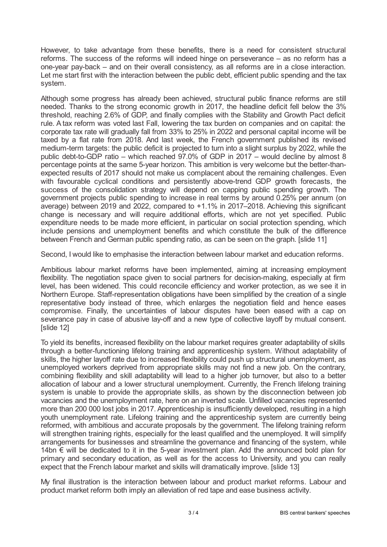However, to take advantage from these benefits, there is a need for consistent structural reforms. The success of the reforms will indeed hinge on perseverance – as no reform has a one-year pay-back – and on their overall consistency, as all reforms are in a close interaction. Let me start first with the interaction between the public debt, efficient public spending and the tax system.

Although some progress has already been achieved, structural public finance reforms are still needed. Thanks to the strong economic growth in 2017, the headline deficit fell below the 3% threshold, reaching 2.6% of GDP, and finally complies with the Stability and Growth Pact deficit rule. A tax reform was voted last Fall, lowering the tax burden on companies and on capital: the corporate tax rate will gradually fall from 33% to 25% in 2022 and personal capital income will be taxed by a flat rate from 2018. And last week, the French government published its revised medium-term targets: the public deficit is projected to turn into a slight surplus by 2022, while the public debt-to-GDP ratio – which reached 97.0% of GDP in 2017 – would decline by almost 8 percentage points at the same 5-year horizon. This ambition is very welcome but the better-thanexpected results of 2017 should not make us complacent about the remaining challenges. Even with favourable cyclical conditions and persistently above-trend GDP growth forecasts, the success of the consolidation strategy will depend on capping public spending growth. The government projects public spending to increase in real terms by around 0.25% per annum (on average) between 2019 and 2022, compared to +1.1% in 2017–2018. Achieving this significant change is necessary and will require additional efforts, which are not yet specified. Public expenditure needs to be made more efficient, in particular on social protection spending, which include pensions and unemployment benefits and which constitute the bulk of the difference between French and German public spending ratio, as can be seen on the graph. [slide 11]

Second, I would like to emphasise the interaction between labour market and education reforms.

Ambitious labour market reforms have been implemented, aiming at increasing employment flexibility. The negotiation space given to social partners for decision-making, especially at firm level, has been widened. This could reconcile efficiency and worker protection, as we see it in Northern Europe. Staff-representation obligations have been simplified by the creation of a single representative body instead of three, which enlarges the negotiation field and hence eases compromise. Finally, the uncertainties of labour disputes have been eased with a cap on severance pay in case of abusive lay-off and a new type of collective layoff by mutual consent. [slide 12]

To yield its benefits, increased flexibility on the labour market requires greater adaptability of skills through a better-functioning lifelong training and apprenticeship system. Without adaptability of skills, the higher layoff rate due to increased flexibility could push up structural unemployment, as unemployed workers deprived from appropriate skills may not find a new job. On the contrary, combining flexibility and skill adaptability will lead to a higher job turnover, but also to a better allocation of labour and a lower structural unemployment. Currently, the French lifelong training system is unable to provide the appropriate skills, as shown by the disconnection between job vacancies and the unemployment rate, here on an inverted scale. Unfilled vacancies represented more than 200 000 lost jobs in 2017. Apprenticeship is insufficiently developed, resulting in a high youth unemployment rate. Lifelong training and the apprenticeship system are currently being reformed, with ambitious and accurate proposals by the government. The lifelong training reform will strengthen training rights, especially for the least qualified and the unemployed. It will simplify arrangements for businesses and streamline the governance and financing of the system, while 14bn € will be dedicated to it in the 5-year investment plan. Add the announced bold plan for primary and secondary education, as well as for the access to University, and you can really expect that the French labour market and skills will dramatically improve. [slide 13]

My final illustration is the interaction between labour and product market reforms. Labour and product market reform both imply an alleviation of red tape and ease business activity.